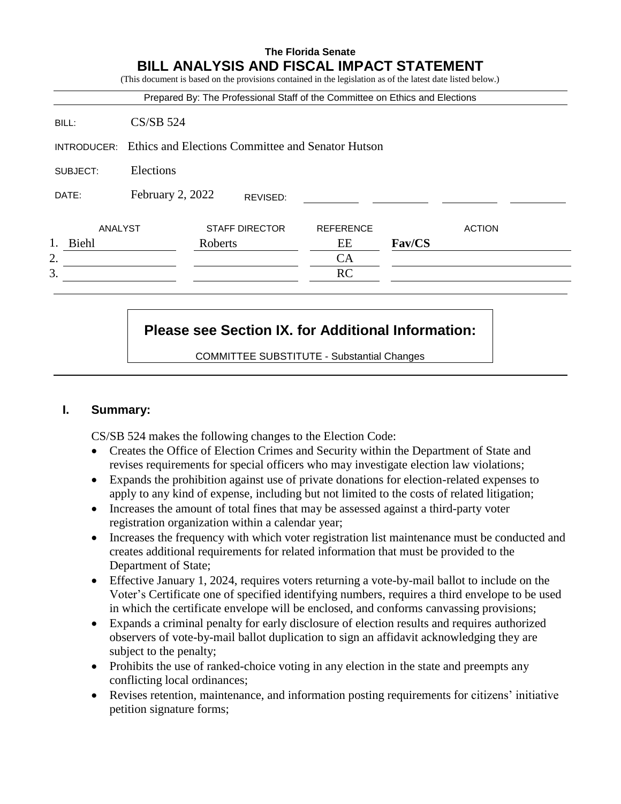|                       |                  |         |                       | Prepared By: The Professional Staff of the Committee on Ethics and Elections |        |               |
|-----------------------|------------------|---------|-----------------------|------------------------------------------------------------------------------|--------|---------------|
| BILL:                 | $CS/SB$ 524      |         |                       |                                                                              |        |               |
| INTRODUCER:           |                  |         |                       | Ethics and Elections Committee and Senator Hutson                            |        |               |
| Elections<br>SUBJECT: |                  |         |                       |                                                                              |        |               |
| DATE:                 | February 2, 2022 |         | REVISED:              |                                                                              |        |               |
| ANALYST               |                  |         | <b>STAFF DIRECTOR</b> | <b>REFERENCE</b>                                                             |        | <b>ACTION</b> |
| Biehl                 |                  | Roberts |                       | EЕ                                                                           | Fav/CS |               |
| 2.                    |                  |         |                       | CA                                                                           |        |               |
| 3.                    |                  |         |                       | RC                                                                           |        |               |

# **Please see Section IX. for Additional Information:**

COMMITTEE SUBSTITUTE - Substantial Changes

## **I. Summary:**

CS/SB 524 makes the following changes to the Election Code:

- Creates the Office of Election Crimes and Security within the Department of State and revises requirements for special officers who may investigate election law violations;
- Expands the prohibition against use of private donations for election-related expenses to apply to any kind of expense, including but not limited to the costs of related litigation;
- Increases the amount of total fines that may be assessed against a third-party voter registration organization within a calendar year;
- Increases the frequency with which voter registration list maintenance must be conducted and creates additional requirements for related information that must be provided to the Department of State;
- Effective January 1, 2024, requires voters returning a vote-by-mail ballot to include on the Voter's Certificate one of specified identifying numbers, requires a third envelope to be used in which the certificate envelope will be enclosed, and conforms canvassing provisions;
- Expands a criminal penalty for early disclosure of election results and requires authorized observers of vote-by-mail ballot duplication to sign an affidavit acknowledging they are subject to the penalty;
- Prohibits the use of ranked-choice voting in any election in the state and preempts any conflicting local ordinances;
- Revises retention, maintenance, and information posting requirements for citizens' initiative petition signature forms;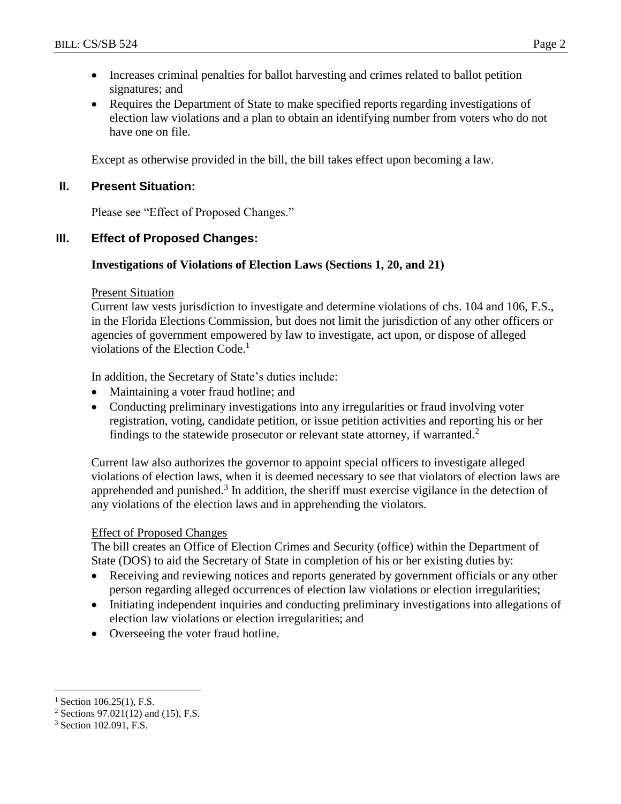- Increases criminal penalties for ballot harvesting and crimes related to ballot petition signatures; and
- Requires the Department of State to make specified reports regarding investigations of election law violations and a plan to obtain an identifying number from voters who do not have one on file.

Except as otherwise provided in the bill, the bill takes effect upon becoming a law.

## **II. Present Situation:**

Please see "Effect of Proposed Changes."

# **III. Effect of Proposed Changes:**

## **Investigations of Violations of Election Laws (Sections 1, 20, and 21)**

## Present Situation

Current law vests jurisdiction to investigate and determine violations of chs. 104 and 106, F.S., in the Florida Elections Commission, but does not limit the jurisdiction of any other officers or agencies of government empowered by law to investigate, act upon, or dispose of alleged violations of the Election Code. 1

In addition, the Secretary of State's duties include:

- Maintaining a voter fraud hotline; and
- Conducting preliminary investigations into any irregularities or fraud involving voter registration, voting, candidate petition, or issue petition activities and reporting his or her findings to the statewide prosecutor or relevant state attorney, if warranted.<sup>2</sup>

Current law also authorizes the governor to appoint special officers to investigate alleged violations of election laws, when it is deemed necessary to see that violators of election laws are apprehended and punished.<sup>3</sup> In addition, the sheriff must exercise vigilance in the detection of any violations of the election laws and in apprehending the violators.

## Effect of Proposed Changes

The bill creates an Office of Election Crimes and Security (office) within the Department of State (DOS) to aid the Secretary of State in completion of his or her existing duties by:

- Receiving and reviewing notices and reports generated by government officials or any other person regarding alleged occurrences of election law violations or election irregularities;
- Initiating independent inquiries and conducting preliminary investigations into allegations of election law violations or election irregularities; and
- Overseeing the voter fraud hotline.

 $\overline{a}$  $^{1}$  Section 106.25(1), F.S.

 $2$  Sections 97.021(12) and (15), F.S.

<sup>3</sup> Section 102.091, F.S.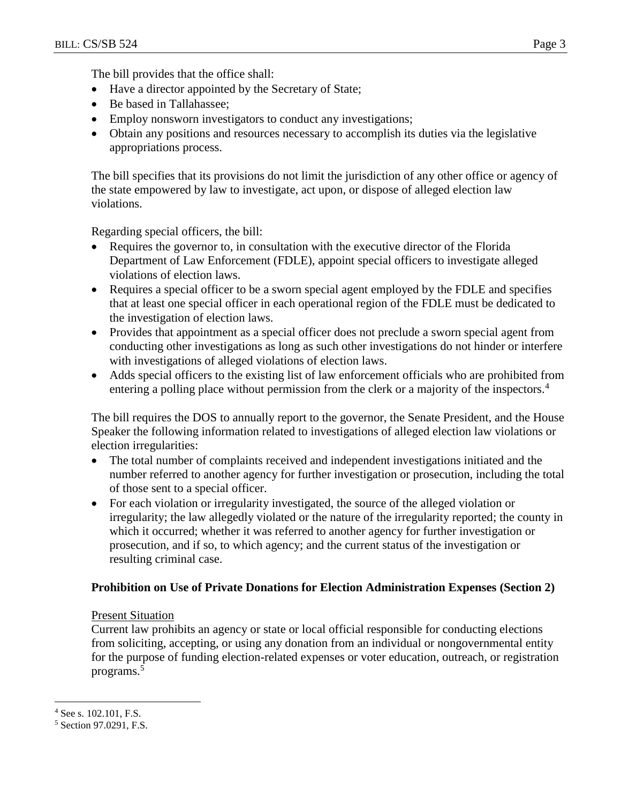The bill provides that the office shall:

- Have a director appointed by the Secretary of State;
- Be based in Tallahassee;
- Employ nonsworn investigators to conduct any investigations;
- Obtain any positions and resources necessary to accomplish its duties via the legislative appropriations process.

The bill specifies that its provisions do not limit the jurisdiction of any other office or agency of the state empowered by law to investigate, act upon, or dispose of alleged election law violations.

Regarding special officers, the bill:

- Requires the governor to, in consultation with the executive director of the Florida Department of Law Enforcement (FDLE), appoint special officers to investigate alleged violations of election laws.
- Requires a special officer to be a sworn special agent employed by the FDLE and specifies that at least one special officer in each operational region of the FDLE must be dedicated to the investigation of election laws.
- Provides that appointment as a special officer does not preclude a sworn special agent from conducting other investigations as long as such other investigations do not hinder or interfere with investigations of alleged violations of election laws.
- Adds special officers to the existing list of law enforcement officials who are prohibited from entering a polling place without permission from the clerk or a majority of the inspectors.<sup>4</sup>

The bill requires the DOS to annually report to the governor, the Senate President, and the House Speaker the following information related to investigations of alleged election law violations or election irregularities:

- The total number of complaints received and independent investigations initiated and the number referred to another agency for further investigation or prosecution, including the total of those sent to a special officer.
- For each violation or irregularity investigated, the source of the alleged violation or irregularity; the law allegedly violated or the nature of the irregularity reported; the county in which it occurred; whether it was referred to another agency for further investigation or prosecution, and if so, to which agency; and the current status of the investigation or resulting criminal case.

## **Prohibition on Use of Private Donations for Election Administration Expenses (Section 2)**

## Present Situation

Current law prohibits an agency or state or local official responsible for conducting elections from soliciting, accepting, or using any donation from an individual or nongovernmental entity for the purpose of funding election-related expenses or voter education, outreach, or registration programs.<sup>5</sup>

<sup>4</sup> See s. 102.101, F.S.

<sup>5</sup> Section 97.0291, F.S.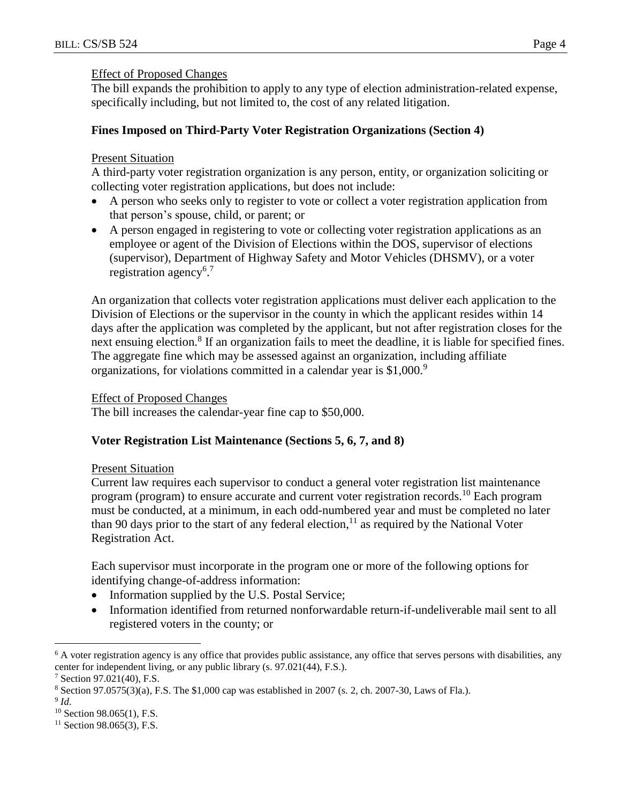#### Effect of Proposed Changes

The bill expands the prohibition to apply to any type of election administration-related expense, specifically including, but not limited to, the cost of any related litigation.

## **Fines Imposed on Third-Party Voter Registration Organizations (Section 4)**

## Present Situation

A third-party voter registration organization is any person, entity, or organization soliciting or collecting voter registration applications, but does not include:

- A person who seeks only to register to vote or collect a voter registration application from that person's spouse, child, or parent; or
- A person engaged in registering to vote or collecting voter registration applications as an employee or agent of the Division of Elections within the DOS, supervisor of elections (supervisor), Department of Highway Safety and Motor Vehicles (DHSMV), or a voter registration agency<sup>6.7</sup>

An organization that collects voter registration applications must deliver each application to the Division of Elections or the supervisor in the county in which the applicant resides within 14 days after the application was completed by the applicant, but not after registration closes for the next ensuing election.<sup>8</sup> If an organization fails to meet the deadline, it is liable for specified fines. The aggregate fine which may be assessed against an organization, including affiliate organizations, for violations committed in a calendar year is \$1,000.<sup>9</sup>

## Effect of Proposed Changes

The bill increases the calendar-year fine cap to \$50,000.

## **Voter Registration List Maintenance (Sections 5, 6, 7, and 8)**

#### Present Situation

Current law requires each supervisor to conduct a general voter registration list maintenance program (program) to ensure accurate and current voter registration records.<sup>10</sup> Each program must be conducted, at a minimum, in each odd-numbered year and must be completed no later than 90 days prior to the start of any federal election,<sup>11</sup> as required by the National Voter Registration Act.

Each supervisor must incorporate in the program one or more of the following options for identifying change-of-address information:

- Information supplied by the U.S. Postal Service;
- Information identified from returned nonforwardable return-if-undeliverable mail sent to all registered voters in the county; or

<sup>&</sup>lt;sup>6</sup> A voter registration agency is any office that provides public assistance, any office that serves persons with disabilities, any center for independent living, or any public library (s. 97.021(44), F.S.).

 $7$  Section 97.021(40), F.S.

 $8$  Section 97.0575(3)(a), F.S. The \$1,000 cap was established in 2007 (s. 2, ch. 2007-30, Laws of Fla.).

<sup>9</sup> *Id*.

 $10$  Section 98.065(1), F.S.

 $11$  Section 98.065(3), F.S.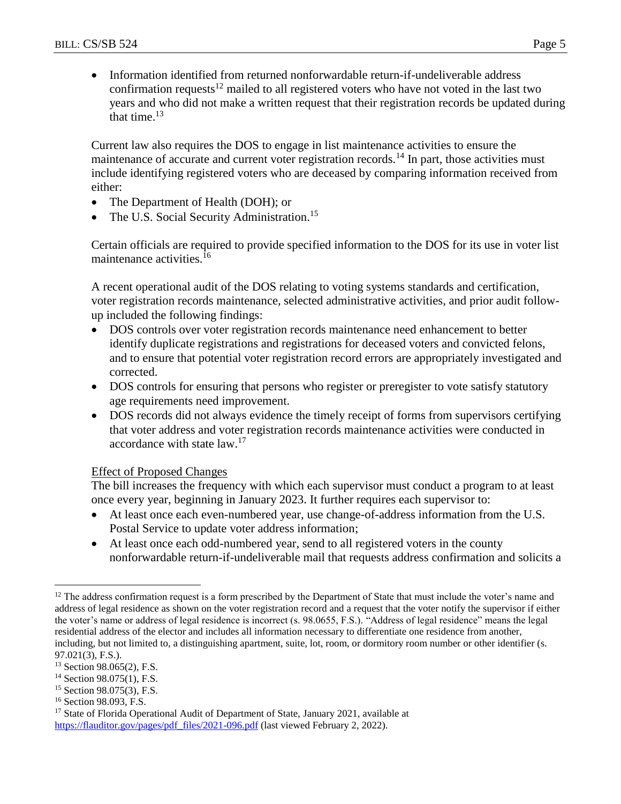Information identified from returned nonforwardable return-if-undeliverable address confirmation requests<sup>12</sup> mailed to all registered voters who have not voted in the last two years and who did not make a written request that their registration records be updated during that time. $13$ 

Current law also requires the DOS to engage in list maintenance activities to ensure the maintenance of accurate and current voter registration records.<sup>14</sup> In part, those activities must include identifying registered voters who are deceased by comparing information received from either:

- The Department of Health (DOH); or
- The U.S. Social Security Administration.<sup>15</sup>

Certain officials are required to provide specified information to the DOS for its use in voter list maintenance activities.<sup>16</sup>

A recent operational audit of the DOS relating to voting systems standards and certification, voter registration records maintenance, selected administrative activities, and prior audit followup included the following findings:

- DOS controls over voter registration records maintenance need enhancement to better identify duplicate registrations and registrations for deceased voters and convicted felons, and to ensure that potential voter registration record errors are appropriately investigated and corrected.
- DOS controls for ensuring that persons who register or preregister to vote satisfy statutory age requirements need improvement.
- DOS records did not always evidence the timely receipt of forms from supervisors certifying that voter address and voter registration records maintenance activities were conducted in accordance with state law.<sup>17</sup>

## Effect of Proposed Changes

The bill increases the frequency with which each supervisor must conduct a program to at least once every year, beginning in January 2023. It further requires each supervisor to:

- At least once each even-numbered year, use change-of-address information from the U.S. Postal Service to update voter address information;
- At least once each odd-numbered year, send to all registered voters in the county nonforwardable return-if-undeliverable mail that requests address confirmation and solicits a

 $12$  The address confirmation request is a form prescribed by the Department of State that must include the voter's name and address of legal residence as shown on the voter registration record and a request that the voter notify the supervisor if either the voter's name or address of legal residence is incorrect (s. 98.0655, F.S.). "Address of legal residence" means the legal residential address of the elector and includes all information necessary to differentiate one residence from another, including, but not limited to, a distinguishing apartment, suite, lot, room, or dormitory room number or other identifier (s. 97.021(3), F.S.).

<sup>&</sup>lt;sup>13</sup> Section 98.065(2), F.S.

<sup>&</sup>lt;sup>14</sup> Section 98.075(1), F.S.

<sup>15</sup> Section 98.075(3), F.S.

<sup>16</sup> Section 98.093, F.S.

<sup>&</sup>lt;sup>17</sup> State of Florida Operational Audit of Department of State, January 2021, available at [https://flauditor.gov/pages/pdf\\_files/2021-096.pdf](https://flauditor.gov/pages/pdf_files/2021-096.pdf) (last viewed February 2, 2022).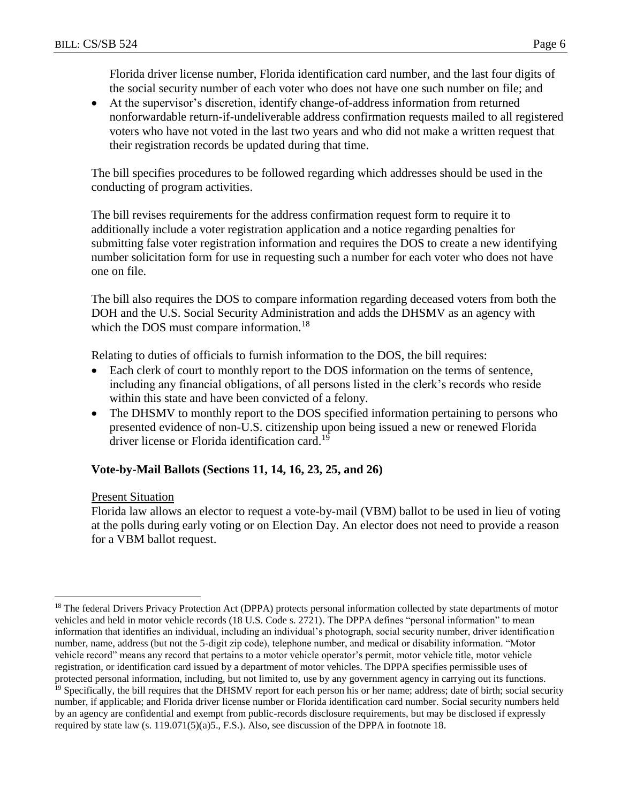Florida driver license number, Florida identification card number, and the last four digits of the social security number of each voter who does not have one such number on file; and

 At the supervisor's discretion, identify change-of-address information from returned nonforwardable return-if-undeliverable address confirmation requests mailed to all registered voters who have not voted in the last two years and who did not make a written request that their registration records be updated during that time.

The bill specifies procedures to be followed regarding which addresses should be used in the conducting of program activities.

The bill revises requirements for the address confirmation request form to require it to additionally include a voter registration application and a notice regarding penalties for submitting false voter registration information and requires the DOS to create a new identifying number solicitation form for use in requesting such a number for each voter who does not have one on file.

The bill also requires the DOS to compare information regarding deceased voters from both the DOH and the U.S. Social Security Administration and adds the DHSMV as an agency with which the DOS must compare information.<sup>18</sup>

Relating to duties of officials to furnish information to the DOS, the bill requires:

- Each clerk of court to monthly report to the DOS information on the terms of sentence, including any financial obligations, of all persons listed in the clerk's records who reside within this state and have been convicted of a felony.
- The DHSMV to monthly report to the DOS specified information pertaining to persons who presented evidence of non-U.S. citizenship upon being issued a new or renewed Florida driver license or Florida identification card.<sup>19</sup>

## **Vote-by-Mail Ballots (Sections 11, 14, 16, 23, 25, and 26)**

Present Situation

Florida law allows an elector to request a vote-by-mail (VBM) ballot to be used in lieu of voting at the polls during early voting or on Election Day. An elector does not need to provide a reason for a VBM ballot request.

 $\overline{a}$ <sup>18</sup> The federal Drivers Privacy Protection Act (DPPA) protects personal information collected by state departments of motor vehicles and held in motor vehicle records (18 U.S. Code s. 2721). The DPPA defines "personal information" to mean information that identifies an individual, including an individual's photograph, social security number, driver identification number, name, address (but not the 5-digit zip code), telephone number, and medical or disability information. "Motor vehicle record" means any record that pertains to a motor vehicle operator's permit, motor vehicle title, motor vehicle registration, or identification card issued by a department of motor vehicles. The DPPA specifies permissible uses of protected personal information, including, but not limited to, use by any government agency in carrying out its functions. <sup>19</sup> Specifically, the bill requires that the DHSMV report for each person his or her name; address; date of birth; social security

number, if applicable; and Florida driver license number or Florida identification card number. Social security numbers held by an agency are confidential and exempt from public-records disclosure requirements, but may be disclosed if expressly required by state law (s. 119.071(5)(a)5., F.S.). Also, see discussion of the DPPA in footnote 18.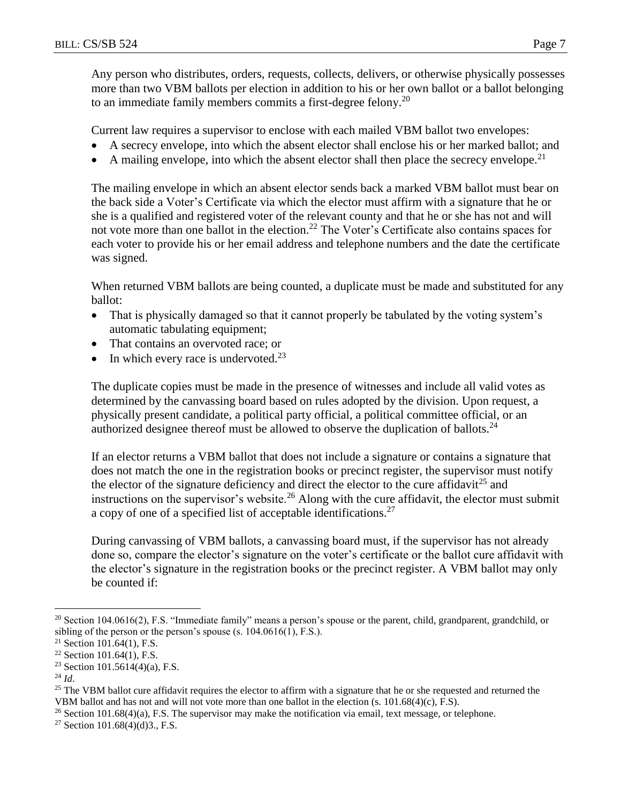Any person who distributes, orders, requests, collects, delivers, or otherwise physically possesses more than two VBM ballots per election in addition to his or her own ballot or a ballot belonging to an immediate family members commits a first-degree felony.<sup>20</sup>

Current law requires a supervisor to enclose with each mailed VBM ballot two envelopes:

- A secrecy envelope, into which the absent elector shall enclose his or her marked ballot; and
- A mailing envelope, into which the absent elector shall then place the secrecy envelope.<sup>21</sup>

The mailing envelope in which an absent elector sends back a marked VBM ballot must bear on the back side a Voter's Certificate via which the elector must affirm with a signature that he or she is a qualified and registered voter of the relevant county and that he or she has not and will not vote more than one ballot in the election.<sup>22</sup> The Voter's Certificate also contains spaces for each voter to provide his or her email address and telephone numbers and the date the certificate was signed.

When returned VBM ballots are being counted, a duplicate must be made and substituted for any ballot:

- That is physically damaged so that it cannot properly be tabulated by the voting system's automatic tabulating equipment;
- That contains an overvoted race; or
- In which every race is undervoted.<sup>23</sup>

The duplicate copies must be made in the presence of witnesses and include all valid votes as determined by the canvassing board based on rules adopted by the division. Upon request, a physically present candidate, a political party official, a political committee official, or an authorized designee thereof must be allowed to observe the duplication of ballots.<sup>24</sup>

If an elector returns a VBM ballot that does not include a signature or contains a signature that does not match the one in the registration books or precinct register, the supervisor must notify the elector of the signature deficiency and direct the elector to the cure affidavit<sup>25</sup> and instructions on the supervisor's website.<sup>26</sup> Along with the cure affidavit, the elector must submit a copy of one of a specified list of acceptable identifications.<sup>27</sup>

During canvassing of VBM ballots, a canvassing board must, if the supervisor has not already done so, compare the elector's signature on the voter's certificate or the ballot cure affidavit with the elector's signature in the registration books or the precinct register. A VBM ballot may only be counted if:

<sup>&</sup>lt;sup>20</sup> Section 104.0616(2), F.S. "Immediate family" means a person's spouse or the parent, child, grandparent, grandchild, or sibling of the person or the person's spouse (s. 104.0616(1), F.S.).

 $21$  Section 101.64(1), F.S.

<sup>22</sup> Section 101.64(1), F.S.

<sup>&</sup>lt;sup>23</sup> Section 101.5614(4)(a), F.S.

 $^{24}$  *Id.* 

<sup>&</sup>lt;sup>25</sup> The VBM ballot cure affidavit requires the elector to affirm with a signature that he or she requested and returned the VBM ballot and has not and will not vote more than one ballot in the election (s. 101.68(4)(c), F.S).

 $26$  Section 101.68(4)(a), F.S. The supervisor may make the notification via email, text message, or telephone.

<sup>&</sup>lt;sup>27</sup> Section 101.68(4)(d)3., F.S.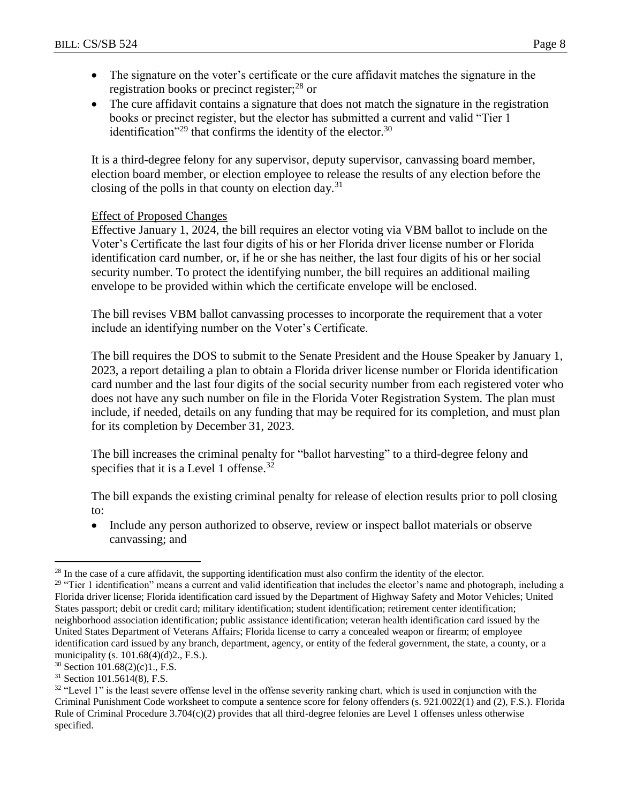- The signature on the voter's certificate or the cure affidavit matches the signature in the registration books or precinct register; $^{28}$  or
- The cure affidavit contains a signature that does not match the signature in the registration books or precinct register, but the elector has submitted a current and valid "Tier 1 identification"<sup>29</sup> that confirms the identity of the elector.<sup>30</sup>

It is a third-degree felony for any supervisor, deputy supervisor, canvassing board member, election board member, or election employee to release the results of any election before the closing of the polls in that county on election day.<sup>31</sup>

## Effect of Proposed Changes

Effective January 1, 2024, the bill requires an elector voting via VBM ballot to include on the Voter's Certificate the last four digits of his or her Florida driver license number or Florida identification card number, or, if he or she has neither, the last four digits of his or her social security number. To protect the identifying number, the bill requires an additional mailing envelope to be provided within which the certificate envelope will be enclosed.

The bill revises VBM ballot canvassing processes to incorporate the requirement that a voter include an identifying number on the Voter's Certificate.

The bill requires the DOS to submit to the Senate President and the House Speaker by January 1, 2023, a report detailing a plan to obtain a Florida driver license number or Florida identification card number and the last four digits of the social security number from each registered voter who does not have any such number on file in the Florida Voter Registration System. The plan must include, if needed, details on any funding that may be required for its completion, and must plan for its completion by December 31, 2023.

The bill increases the criminal penalty for "ballot harvesting" to a third-degree felony and specifies that it is a Level 1 offense.<sup>32</sup>

The bill expands the existing criminal penalty for release of election results prior to poll closing to:

• Include any person authorized to observe, review or inspect ballot materials or observe canvassing; and

<sup>&</sup>lt;sup>28</sup> In the case of a cure affidavit, the supporting identification must also confirm the identity of the elector.

<sup>&</sup>lt;sup>29</sup> "Tier 1 identification" means a current and valid identification that includes the elector's name and photograph, including a Florida driver license; Florida identification card issued by the Department of Highway Safety and Motor Vehicles; United States passport; debit or credit card; military identification; student identification; retirement center identification; neighborhood association identification; public assistance identification; veteran health identification card issued by the United States Department of Veterans Affairs; Florida license to carry a concealed weapon or firearm; of employee identification card issued by any branch, department, agency, or entity of the federal government, the state, a county, or a municipality (s. 101.68(4)(d)2., F.S.).

 $30$  Section 101.68(2)(c)1., F.S.

<sup>31</sup> Section 101.5614(8), F.S.

<sup>&</sup>lt;sup>32</sup> "Level 1" is the least severe offense level in the offense severity ranking chart, which is used in conjunction with the Criminal Punishment Code worksheet to compute a sentence score for felony offenders (s. 921.0022(1) and (2), F.S.). Florida Rule of Criminal Procedure 3.704(c)(2) provides that all third-degree felonies are Level 1 offenses unless otherwise specified.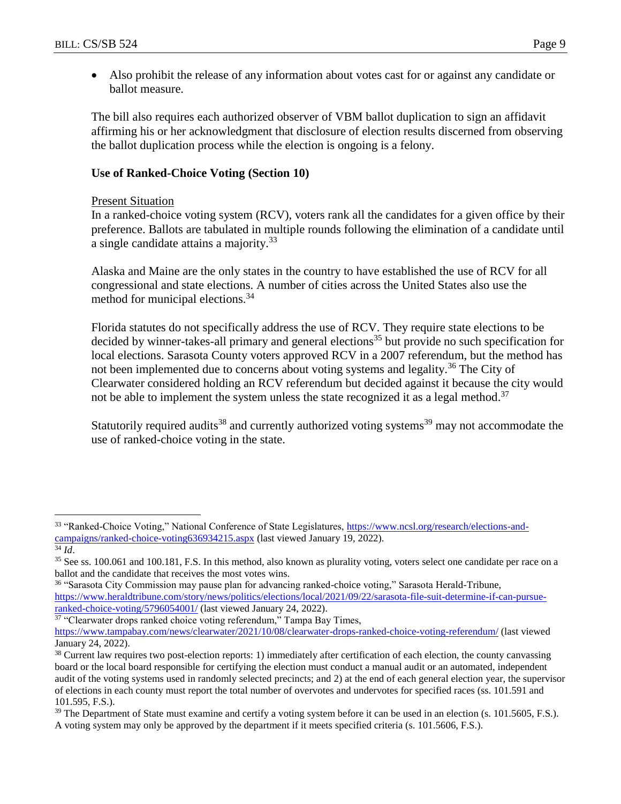Also prohibit the release of any information about votes cast for or against any candidate or ballot measure.

The bill also requires each authorized observer of VBM ballot duplication to sign an affidavit affirming his or her acknowledgment that disclosure of election results discerned from observing the ballot duplication process while the election is ongoing is a felony.

## **Use of Ranked-Choice Voting (Section 10)**

#### Present Situation

In a ranked-choice voting system (RCV), voters rank all the candidates for a given office by their preference. Ballots are tabulated in multiple rounds following the elimination of a candidate until a single candidate attains a majority.<sup>33</sup>

Alaska and Maine are the only states in the country to have established the use of RCV for all congressional and state elections. A number of cities across the United States also use the method for municipal elections.<sup>34</sup>

Florida statutes do not specifically address the use of RCV. They require state elections to be decided by winner-takes-all primary and general elections<sup>35</sup> but provide no such specification for local elections. Sarasota County voters approved RCV in a 2007 referendum, but the method has not been implemented due to concerns about voting systems and legality.<sup>36</sup> The City of Clearwater considered holding an RCV referendum but decided against it because the city would not be able to implement the system unless the state recognized it as a legal method.<sup>37</sup>

Statutorily required audits<sup>38</sup> and currently authorized voting systems<sup>39</sup> may not accommodate the use of ranked-choice voting in the state.

 $\overline{a}$ 

<sup>37</sup> "Clearwater drops ranked choice voting referendum," Tampa Bay Times,

<sup>33</sup> "Ranked-Choice Voting," National Conference of State Legislatures, [https://www.ncsl.org/research/elections-and](https://www.ncsl.org/research/elections-and-campaigns/ranked-choice-voting636934215.aspx)[campaigns/ranked-choice-voting636934215.aspx](https://www.ncsl.org/research/elections-and-campaigns/ranked-choice-voting636934215.aspx) (last viewed January 19, 2022).

<sup>34</sup> *Id*.

<sup>&</sup>lt;sup>35</sup> See ss. 100.061 and 100.181, F.S. In this method, also known as plurality voting, voters select one candidate per race on a ballot and the candidate that receives the most votes wins.

<sup>36</sup> "Sarasota City Commission may pause plan for advancing ranked-choice voting," Sarasota Herald-Tribune, [https://www.heraldtribune.com/story/news/politics/elections/local/2021/09/22/sarasota-file-suit-determine-if-can-pursue](https://www.heraldtribune.com/story/news/politics/elections/local/2021/09/22/sarasota-file-suit-determine-if-can-pursue-ranked-choice-voting/5796054001/)[ranked-choice-voting/5796054001/](https://www.heraldtribune.com/story/news/politics/elections/local/2021/09/22/sarasota-file-suit-determine-if-can-pursue-ranked-choice-voting/5796054001/) (last viewed January 24, 2022).

<https://www.tampabay.com/news/clearwater/2021/10/08/clearwater-drops-ranked-choice-voting-referendum/> (last viewed January 24, 2022).

<sup>&</sup>lt;sup>38</sup> Current law requires two post-election reports: 1) immediately after certification of each election, the county canvassing board or the local board responsible for certifying the election must conduct a manual audit or an automated, independent audit of the voting systems used in randomly selected precincts; and 2) at the end of each general election year, the supervisor of elections in each county must report the total number of overvotes and undervotes for specified races (ss. 101.591 and 101.595, F.S.).

<sup>&</sup>lt;sup>39</sup> The Department of State must examine and certify a voting system before it can be used in an election (s. 101.5605, F.S.). A voting system may only be approved by the department if it meets specified criteria (s. 101.5606, F.S.).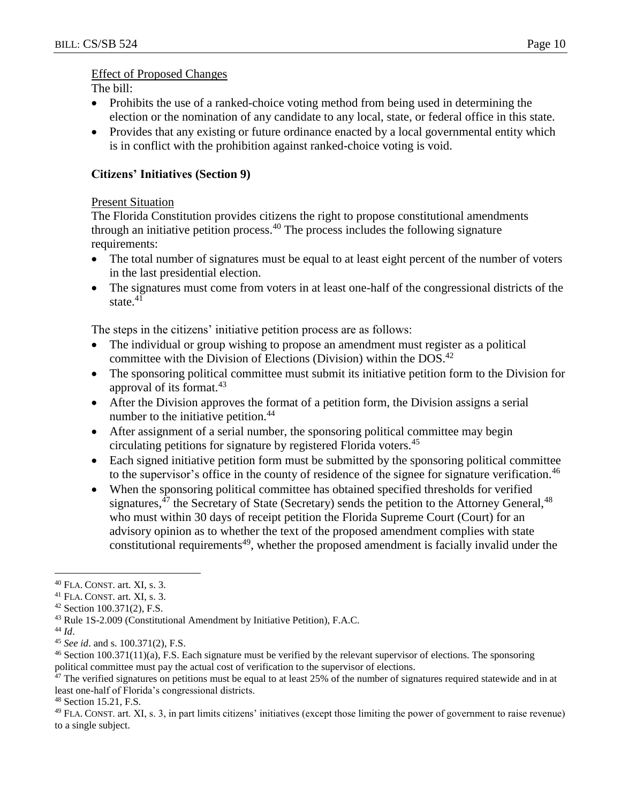#### Effect of Proposed Changes

The bill:

- Prohibits the use of a ranked-choice voting method from being used in determining the election or the nomination of any candidate to any local, state, or federal office in this state.
- Provides that any existing or future ordinance enacted by a local governmental entity which is in conflict with the prohibition against ranked-choice voting is void.

## **Citizens' Initiatives (Section 9)**

## Present Situation

The Florida Constitution provides citizens the right to propose constitutional amendments through an initiative petition process.<sup>40</sup> The process includes the following signature requirements:

- The total number of signatures must be equal to at least eight percent of the number of voters in the last presidential election.
- The signatures must come from voters in at least one-half of the congressional districts of the state.<sup>41</sup>

The steps in the citizens' initiative petition process are as follows:

- The individual or group wishing to propose an amendment must register as a political committee with the Division of Elections (Division) within the DOS.<sup>42</sup>
- The sponsoring political committee must submit its initiative petition form to the Division for approval of its format.<sup>43</sup>
- After the Division approves the format of a petition form, the Division assigns a serial number to the initiative petition.<sup>44</sup>
- After assignment of a serial number, the sponsoring political committee may begin circulating petitions for signature by registered Florida voters.<sup>45</sup>
- Each signed initiative petition form must be submitted by the sponsoring political committee to the supervisor's office in the county of residence of the signee for signature verification.<sup>46</sup>
- When the sponsoring political committee has obtained specified thresholds for verified signatures,<sup>47</sup> the Secretary of State (Secretary) sends the petition to the Attorney General,<sup>48</sup> who must within 30 days of receipt petition the Florida Supreme Court (Court) for an advisory opinion as to whether the text of the proposed amendment complies with state constitutional requirements<sup>49</sup>, whether the proposed amendment is facially invalid under the

<sup>40</sup> FLA. CONST. art. XI, s. 3.

<sup>41</sup> FLA. CONST. art. XI, s. 3.

<sup>42</sup> Section 100.371(2), F.S.

<sup>43</sup> Rule 1S-2.009 (Constitutional Amendment by Initiative Petition), F.A.C.

<sup>44</sup> *Id*.

<sup>45</sup> *See id*. and s. 100.371(2), F.S.

<sup>46</sup> Section 100.371(11)(a), F.S. Each signature must be verified by the relevant supervisor of elections. The sponsoring political committee must pay the actual cost of verification to the supervisor of elections.

 $47$  The verified signatures on petitions must be equal to at least 25% of the number of signatures required statewide and in at least one-half of Florida's congressional districts.

<sup>48</sup> Section 15.21, F.S.

<sup>49</sup> FLA. CONST. art. XI, s. 3, in part limits citizens' initiatives (except those limiting the power of government to raise revenue) to a single subject.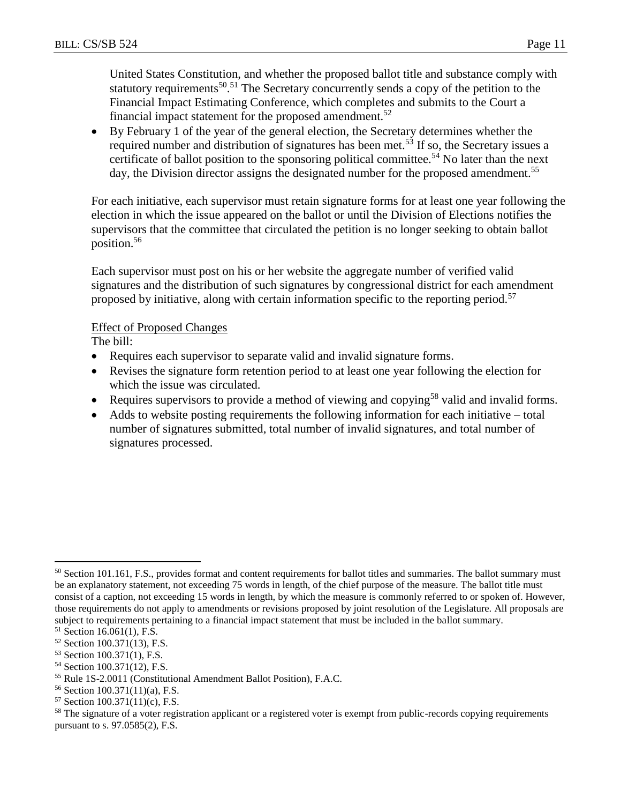United States Constitution, and whether the proposed ballot title and substance comply with statutory requirements<sup>50,51</sup> The Secretary concurrently sends a copy of the petition to the Financial Impact Estimating Conference, which completes and submits to the Court a financial impact statement for the proposed amendment.<sup>52</sup>

 By February 1 of the year of the general election, the Secretary determines whether the required number and distribution of signatures has been met.<sup>53</sup> If so, the Secretary issues a certificate of ballot position to the sponsoring political committee.<sup>54</sup> No later than the next day, the Division director assigns the designated number for the proposed amendment.<sup>55</sup>

For each initiative, each supervisor must retain signature forms for at least one year following the election in which the issue appeared on the ballot or until the Division of Elections notifies the supervisors that the committee that circulated the petition is no longer seeking to obtain ballot position.<sup>56</sup>

Each supervisor must post on his or her website the aggregate number of verified valid signatures and the distribution of such signatures by congressional district for each amendment proposed by initiative, along with certain information specific to the reporting period.<sup>57</sup>

#### Effect of Proposed Changes

The bill:

- Requires each supervisor to separate valid and invalid signature forms.
- Revises the signature form retention period to at least one year following the election for which the issue was circulated.
- Requires supervisors to provide a method of viewing and copying<sup>58</sup> valid and invalid forms.
- Adds to website posting requirements the following information for each initiative total number of signatures submitted, total number of invalid signatures, and total number of signatures processed.

<sup>&</sup>lt;sup>50</sup> Section 101.161, F.S., provides format and content requirements for ballot titles and summaries. The ballot summary must be an explanatory statement, not exceeding 75 words in length, of the chief purpose of the measure. The ballot title must consist of a caption, not exceeding 15 words in length, by which the measure is commonly referred to or spoken of. However, those requirements do not apply to amendments or revisions proposed by joint resolution of the Legislature. All proposals are subject to requirements pertaining to a financial impact statement that must be included in the ballot summary.

<sup>51</sup> Section 16.061(1), F.S.

<sup>52</sup> Section 100.371(13), F.S.

<sup>53</sup> Section 100.371(1), F.S.

<sup>54</sup> Section 100.371(12), F.S.

<sup>55</sup> Rule 1S-2.0011 (Constitutional Amendment Ballot Position), F.A.C.

<sup>56</sup> Section 100.371(11)(a), F.S.

 $57$  Section 100.371(11)(c), F.S.

<sup>&</sup>lt;sup>58</sup> The signature of a voter registration applicant or a registered voter is exempt from public-records copying requirements pursuant to s. 97.0585(2), F.S.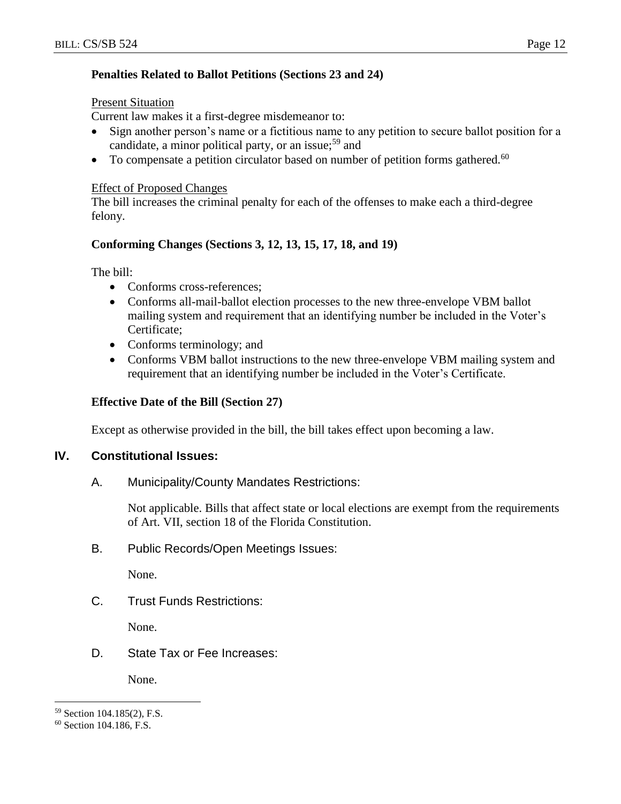## **Penalties Related to Ballot Petitions (Sections 23 and 24)**

#### Present Situation

Current law makes it a first-degree misdemeanor to:

- Sign another person's name or a fictitious name to any petition to secure ballot position for a candidate, a minor political party, or an issue;<sup>59</sup> and
- $\bullet$  To compensate a petition circulator based on number of petition forms gathered.<sup>60</sup>

#### Effect of Proposed Changes

The bill increases the criminal penalty for each of the offenses to make each a third-degree felony.

## **Conforming Changes (Sections 3, 12, 13, 15, 17, 18, and 19)**

The bill:

- Conforms cross-references:
- Conforms all-mail-ballot election processes to the new three-envelope VBM ballot mailing system and requirement that an identifying number be included in the Voter's Certificate;
- Conforms terminology; and
- Conforms VBM ballot instructions to the new three-envelope VBM mailing system and requirement that an identifying number be included in the Voter's Certificate.

## **Effective Date of the Bill (Section 27)**

Except as otherwise provided in the bill, the bill takes effect upon becoming a law.

## **IV. Constitutional Issues:**

A. Municipality/County Mandates Restrictions:

Not applicable. Bills that affect state or local elections are exempt from the requirements of Art. VII, section 18 of the Florida Constitution.

B. Public Records/Open Meetings Issues:

None.

C. Trust Funds Restrictions:

None.

D. State Tax or Fee Increases:

None.

<sup>59</sup> Section 104.185(2), F.S.

<sup>60</sup> Section 104.186, F.S.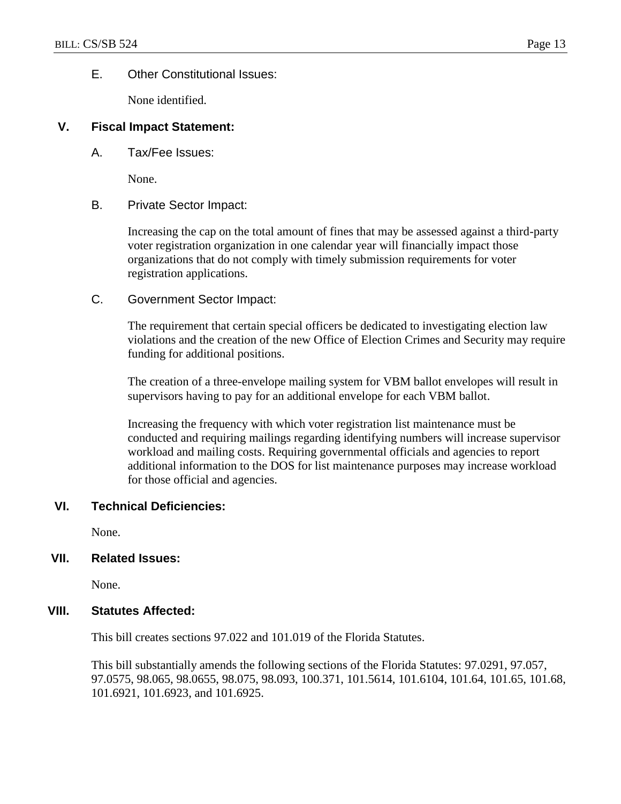#### E. Other Constitutional Issues:

None identified.

#### **V. Fiscal Impact Statement:**

A. Tax/Fee Issues:

None.

#### B. Private Sector Impact:

Increasing the cap on the total amount of fines that may be assessed against a third-party voter registration organization in one calendar year will financially impact those organizations that do not comply with timely submission requirements for voter registration applications.

C. Government Sector Impact:

The requirement that certain special officers be dedicated to investigating election law violations and the creation of the new Office of Election Crimes and Security may require funding for additional positions.

The creation of a three-envelope mailing system for VBM ballot envelopes will result in supervisors having to pay for an additional envelope for each VBM ballot.

Increasing the frequency with which voter registration list maintenance must be conducted and requiring mailings regarding identifying numbers will increase supervisor workload and mailing costs. Requiring governmental officials and agencies to report additional information to the DOS for list maintenance purposes may increase workload for those official and agencies.

#### **VI. Technical Deficiencies:**

None.

## **VII. Related Issues:**

None.

#### **VIII. Statutes Affected:**

This bill creates sections 97.022 and 101.019 of the Florida Statutes.

This bill substantially amends the following sections of the Florida Statutes: 97.0291, 97.057, 97.0575, 98.065, 98.0655, 98.075, 98.093, 100.371, 101.5614, 101.6104, 101.64, 101.65, 101.68, 101.6921, 101.6923, and 101.6925.